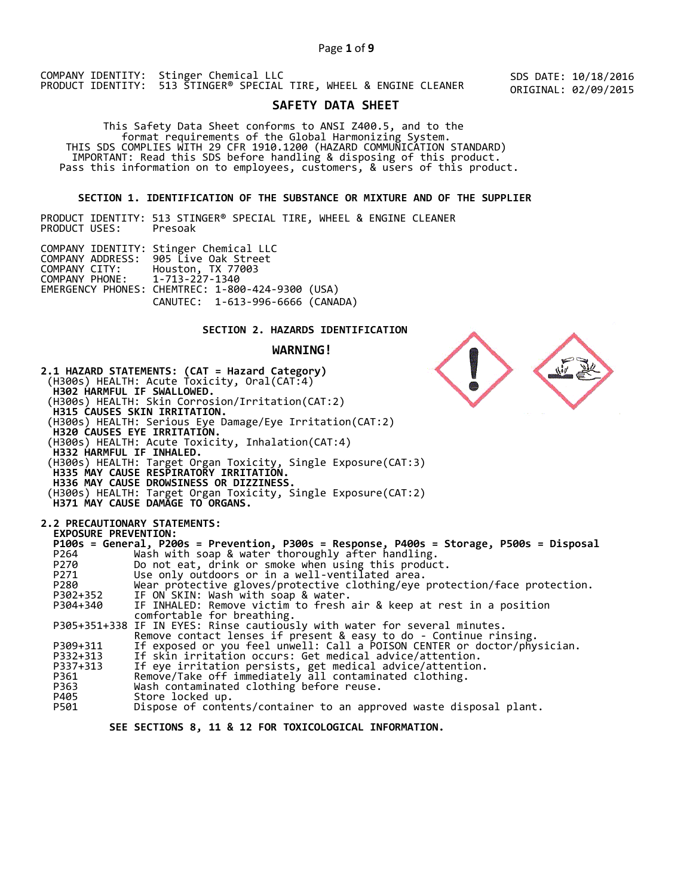# Page **1** of **9**

COMPANY IDENTITY: Stinger Chemical LLC PRODUCT IDENTITY: 513 STINGER® SPECIAL TIRE, WHEEL & ENGINE CLEANER

SDS DATE: 10/18/2016 ORIGINAL: 02/09/2015

# **SAFETY DATA SHEET**

 This Safety Data Sheet conforms to ANSI Z400.5, and to the format requirements of the Global Harmonizing System. THIS SDS COMPLIES WITH 29 CFR 1910.1200 (HAZARD COMMUNICATION STANDARD) IMPORTANT: Read this SDS before handling & disposing of this product. Pass this information on to employees, customers, & users of this product.

# **SECTION 1. IDENTIFICATION OF THE SUBSTANCE OR MIXTURE AND OF THE SUPPLIER**

PRODUCT IDENTITY: 513 STINGER® SPECIAL TIRE, WHEEL & ENGINE CLEANER PRODUCT USES:

|                               | COMPANY IDENTITY: Stinger Chemical LLC           |  |
|-------------------------------|--------------------------------------------------|--|
|                               | COMPANY ADDRESS: 905 Live Oak Street             |  |
|                               | COMPANY CITY: Houston, TX 77003                  |  |
| COMPANY PHONE: 1-713-227-1340 |                                                  |  |
|                               | EMERGENCY PHONES: CHEMTREC: 1-800-424-9300 (USA) |  |
|                               | CANUTEC: 1-613-996-6666 (CANADA)                 |  |

# **SECTION 2. HAZARDS IDENTIFICATION**

# **WARNING!**



Dispose of contents/container to an approved waste disposal plant.

 **SEE SECTIONS 8, 11 & 12 FOR TOXICOLOGICAL INFORMATION.**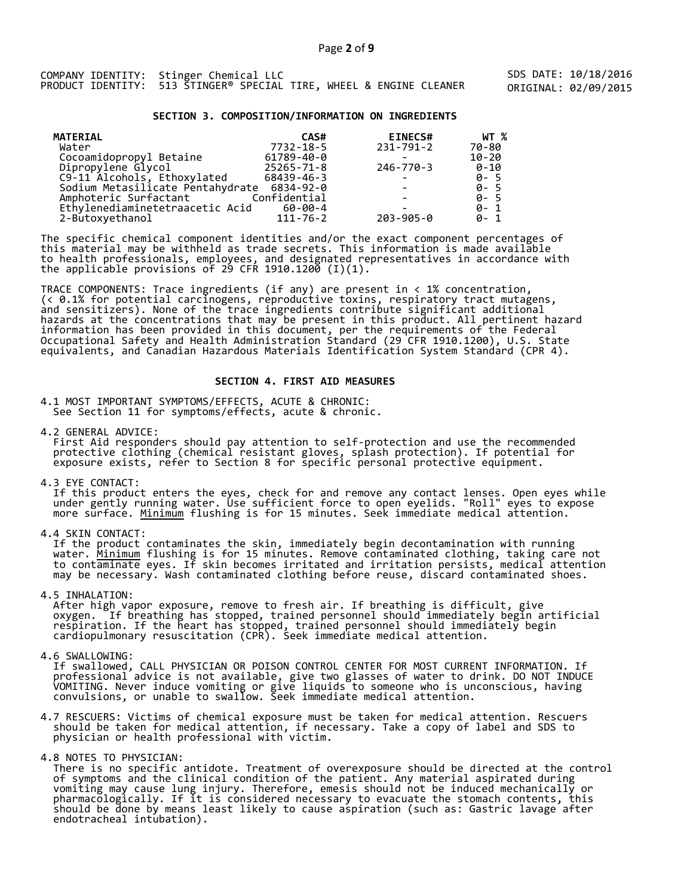SDS DATE: 10/18/2016 ORIGINAL: 02/09/2015

### **SECTION 3. COMPOSITION/INFORMATION ON INGREDIENTS**

| <b>MATERIAL</b>                  | CAS#           | <b>EINECS#</b>           | WT %      |
|----------------------------------|----------------|--------------------------|-----------|
| Water                            | 7732-18-5      | $231 - 791 - 2$          | 70-80     |
| Cocoamidopropyl Betaine          | 61789-40-0     |                          | $10 - 20$ |
| Dipropylene Glycol               | 25265-71-8     | 246-770-3                | 0-10      |
| C9-11 Alcohols, Ethoxylated      | 68439-46-3     | $\overline{\phantom{0}}$ | $0 - 5$   |
| Sodium Metasilicate Pentahydrate | 6834-92-0      |                          | $0 - 5$   |
| Amphoteric Surfactant            | Confidential   |                          | $0 - 5$   |
| Ethylenediaminetetraacetic Acid  | 60-00-4        |                          | $0 - 1$   |
| 2-Butoxyethanol                  | $111 - 76 - 2$ | $203 - 905 - 0$          | $0 - 1$   |

The specific chemical component identities and/or the exact component percentages of this material may be withheld as trade secrets. This information is made available to health professionals, employees, and designated representatives in accordance with the applicable provisions of 29 CFR 1910.1200̄ (I)(1).  $\overline{\phantom{a}}$ 

TRACE COMPONENTS: Trace ingredients (if any) are present in < 1% concentration, (< 0.1% for potential carcinogens, reproductive toxins, respiratory tract mutagens, and sensitizers). None of the trace ingredients contribute significant additional hazards at the concentrations that may be present in this product. All pertinent hazard information has been provided in this document, per the requirements of the Federal Occupational Safety and Health Administration Standard (29 CFR 1910.1200), U.S. State equivalents, and Canadian Hazardous Materials Identification System Standard (CPR 4).

# **SECTION 4. FIRST AID MEASURES**

4.1 MOST IMPORTANT SYMPTOMS/EFFECTS, ACUTE & CHRONIC: See Section 11 for symptoms/effects, acute & chronic.

4.2 GENERAL ADVICE: First Aid responders should pay attention to self-protection and use the recommended protective clothing (chemical resistant gloves, splash protection). If potential for exposure exists, refer to Section 8 for specific personal protective equipment.

4.3 EYE CONTACT:

 If this product enters the eyes, check for and remove any contact lenses. Open eyes while under gently running water. Use sufficient force to open eyelids. "Roll" eyes to expose more surface. <u>Minimum</u> flushing is for 15 minutes. Seek immediate medical attention.

4.4 SKIN CONTACT:

 If the product contaminates the skin, immediately begin decontamination with running water. <u>Minimum</u> flushing is for 15 minutes. Remove contaminated clothing, taking care not to contaminate eyes. If skin becomes irritated and irritation persists, medical attention may be necessary. Wash contaminated clothing before reuse, discard contaminated shoes.

4.5 INHALATION:

 After high vapor exposure, remove to fresh air. If breathing is difficult, give oxygen. If breathing has stopped, trained personnel should immediately begin artificial respiration. If the heart has stopped, trained personnel should immediately begin cardiopulmonary resuscitation (CPR). Seek immediate medical attention.

4.6 SWALLOWING:

 If swallowed, CALL PHYSICIAN OR POISON CONTROL CENTER FOR MOST CURRENT INFORMATION. If professional advice is not available, give two glasses of water to drink. DO NOT INDUCE VOMITING. Never induce vomiting or give liquids to someone who is unconscious, having convulsions, or unable to swallow. Seek immediate medical attention.

- 4.7 RESCUERS: Victims of chemical exposure must be taken for medical attention. Rescuers should be taken for medical attention, if necessary. Take a copy of label and SDS to physician or health professional with victim.
- 4.8 NOTES TO PHYSICIAN:

 There is no specific antidote. Treatment of overexposure should be directed at the control of symptoms and the clinical condition of the patient. Any material aspirated during vomiting may cause lung injury. Therefore, emesis should not be induced mechanically or pharmacologically. If it is considered necessary to evacuate the stomach contents, this should be done by means least likely to cause aspiration (such as: Gastric lavage after endotracheal intubation).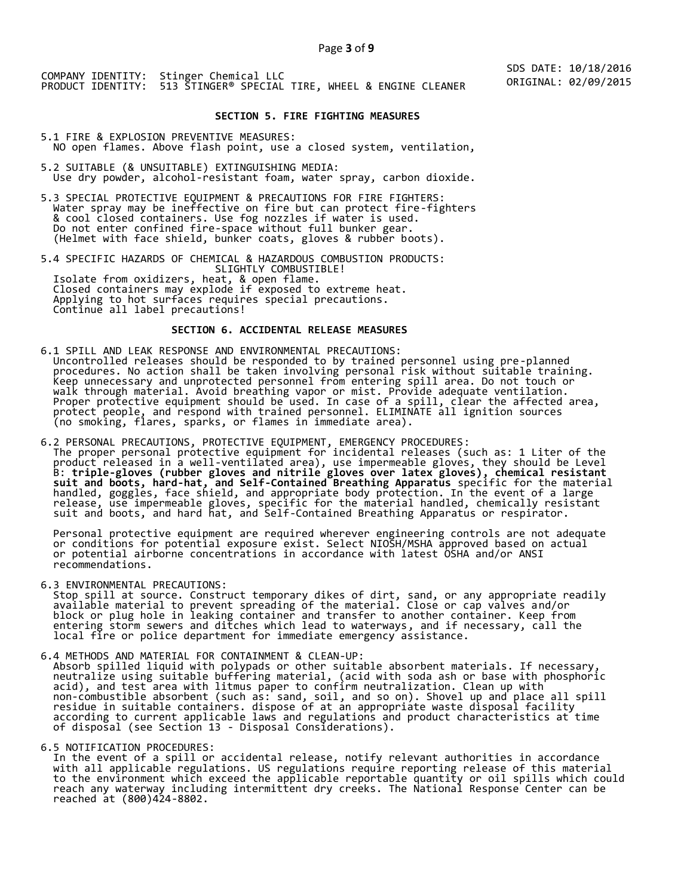#### **SECTION 5. FIRE FIGHTING MEASURES**

5.1 FIRE & EXPLOSION PREVENTIVE MEASURES: NO open flames. Above flash point, use a closed system, ventilation,

- 5.2 SUITABLE (& UNSUITABLE) EXTINGUISHING MEDIA: Use dry powder, alcohol-resistant foam, water spray, carbon dioxide.
- 5.3 SPECIAL PROTECTIVE EQUIPMENT & PRECAUTIONS FOR FIRE FIGHTERS: Water spray may be ineffective on fire but can protect fire-fighters & cool closed containers. Use fog nozzles if water is used. Do not enter confined fire-space without full bunker gear. (Helmet with face shield, bunker coats, gloves & rubber boots).

5.4 SPECIFIC HAZARDS OF CHEMICAL & HAZARDOUS COMBUSTION PRODUCTS: SLIGHTLY COMBUSTIBLE! Isolate from oxidizers, heat, & open flame. Closed containers may explode if exposed to extreme heat. Applying to hot surfaces requires special precautions. Continue all label precautions!

# **SECTION 6. ACCIDENTAL RELEASE MEASURES**

- 6.1 SPILL AND LEAK RESPONSE AND ENVIRONMENTAL PRECAUTIONS: Uncontrolled releases should be responded to by trained personnel using pre-planned procedures. No action shall be taken involving personal risk without suitable training. Keep unnecessary and unprotected personnel from entering spill area. Do not touch or walk through material. Avoid breathing vapor or mist. Provide adequate ventilation. Proper protective equipment should be used. In case of a spill, clear the affected area, protect people, and respond with trained personnel. ELIMINATE all ignition sources (no smoking, flares, sparks, or flames in immediate area).
- 6.2 PERSONAL PRECAUTIONS, PROTECTIVE EQUIPMENT, EMERGENCY PROCEDURES: The proper personal protective equipment for incidental releases (such as: 1 Liter of the product released in a well-ventilated area), use impermeable gloves, they should be Level B: **triple-gloves (rubber gloves and nitrile gloves over latex gloves), chemical resistant suit and boots, hard-hat, and Self-Contained Breathing Apparatus** specific for the material handled, goggles, face shield, and appropriate body protection. In the event of a large release, use impermeable gloves, specific for the material handled, chemically resistant suit and boots, and hard hat, and Self-Contained Breathing Apparatus or respirator.

 Personal protective equipment are required wherever engineering controls are not adequate or conditions for potential exposure exist. Select NIOSH/MSHA approved based on actual or potential airborne concentrations in accordance with latest OSHA and/or ANSI recommendations.

6.3 ENVIRONMENTAL PRECAUTIONS:

 Stop spill at source. Construct temporary dikes of dirt, sand, or any appropriate readily available material to prevent spreading of the material. Close or cap valves and/or block or plug hole in leaking container and transfer to another container. Keep from entering storm sewers and ditches which lead to waterways, and if necessary, call the local fire or police department for immediate emergency assistance.

6.4 METHODS AND MATERIAL FOR CONTAINMENT & CLEAN-UP: Absorb spilled liquid with polypads or other suitable absorbent materials. If necessary, neutralize using suitable buffering material, (acid with soda ash or base with phosphoric acid), and test area with litmus paper to confirm neutralization. Clean up with non-combustible absorbent (such as: sand, soil, and so on). Shovel up and place all spill residue in suitable containers. dispose of at an appropriate waste disposal facility according to current applicable laws and regulations and product characteristics at time of disposal (see Section 13 - Disposal Considerations).

6.5 NOTIFICATION PROCEDURES:

 In the event of a spill or accidental release, notify relevant authorities in accordance with all applicable regulations. US regulations require reporting release of this material to the environment which exceed the applicable reportable quantity or oil spills which could reach any waterway including intermittent dry creeks. The National Response Center can be reached at (800)424-8802.

SDS DATE: 10/18/2016 ORIGINAL: 02/09/2015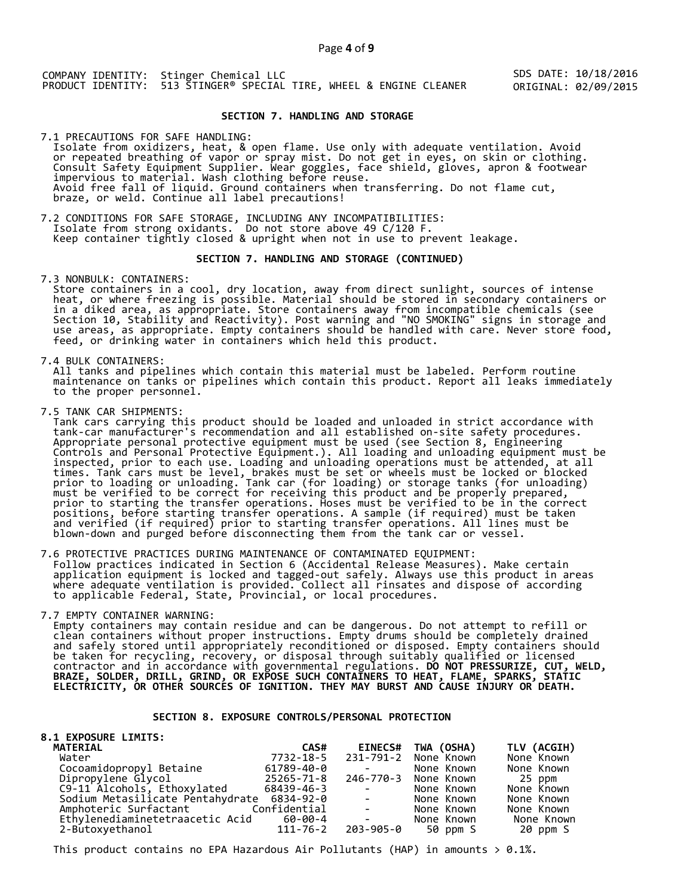SDS DATE: 10/18/2016 ORIGINAL: 02/09/2015

# **SECTION 7. HANDLING AND STORAGE**

7.1 PRECAUTIONS FOR SAFE HANDLING: Isolate from oxidizers, heat, & open flame. Use only with adequate ventilation. Avoid or repeated breathing of vapor or spray mist. Do not get in eyes, on skin or clothing. Consult Safety Equipment Supplier. Wear goggles, face shield, gloves, apron & footwear impervious to material. Wash clothing before reuse. Avoid free fall of liquid. Ground containers when transferring. Do not flame cut, braze, or weld. Continue all label precautions!

7.2 CONDITIONS FOR SAFE STORAGE, INCLUDING ANY INCOMPATIBILITIES: Isolate from strong oxidants. Do not store above 49 C/120 F. Keep container tightly closed & upright when not in use to prevent leakage.

### **SECTION 7. HANDLING AND STORAGE (CONTINUED)**

7.3 NONBULK: CONTAINERS:

 Store containers in a cool, dry location, away from direct sunlight, sources of intense heat, or where freezing is possible. Material should be stored in secondary containers or in a diked area, as appropriate. Store containers away from incompatible chemicals (see Section 10, Stability and Reactivity). Post warning and "NO SMOKING" signs in storage and use areas, as appropriate. Empty containers should be handled with care. Never store food, feed, or drinking water in containers which held this product.

7.4 BULK CONTAINERS:

 All tanks and pipelines which contain this material must be labeled. Perform routine maintenance on tanks or pipelines which contain this product. Report all leaks immediately to the proper personnel.

7.5 TANK CAR SHIPMENTS:

 Tank cars carrying this product should be loaded and unloaded in strict accordance with tank-car manufacturer's recommendation and all established on-site safety procedures. Appropriate personal protective equipment must be used (see Section 8, Engineering Controls and Personal Protective Equipment.). All loading and unloading equipment must be inspected, prior to each use. Loading and unloading operations must be attended, at all times. Tank cars must be level, brakes must be set or wheels must be locked or blocked prior to loading or unloading. Tank car (for loading) or storage tanks (for unloading) must be verified to be correct for receiving this product and be properly prepared, prior to starting the transfer operations. Hoses must be verified to be in the correct positions, before starting transfer operations. A sample (if required) must be taken and verified (if required) prior to starting transfer operations. All lines must be blown-down and purged before disconnecting them from the tank car or vessel.

7.6 PROTECTIVE PRACTICES DURING MAINTENANCE OF CONTAMINATED EQUIPMENT: Follow practices indicated in Section 6 (Accidental Release Measures). Make certain application equipment is locked and tagged-out safely. Always use this product in areas where adequate ventilation is provided. Collect all rinsates and dispose of according to applicable Federal, State, Provincial, or local procedures.

7.7 EMPTY CONTAINER WARNING:

 Empty containers may contain residue and can be dangerous. Do not attempt to refill or clean containers without proper instructions. Empty drums should be completely drained and safely stored until appropriately reconditioned or disposed. Empty containers should be taken for recycling, recovery, or disposal through suitably qualified or licensed contractor and in accordance with governmental regulations. **DO NOT PRESSURIZE, CUT, WELD, BRAZE, SOLDER, DRILL, GRIND, OR EXPOSE SUCH CONTAINERS TO HEAT, FLAME, SPARKS, STATIC ELECTRICITY, OR OTHER SOURCES OF IGNITION. THEY MAY BURST AND CAUSE INJURY OR DEATH.**

# **SECTION 8. EXPOSURE CONTROLS/PERSONAL PROTECTION**

| <b>8.1 EXPOSURE LIMITS:</b>                |            |                                                                                            |                      |             |
|--------------------------------------------|------------|--------------------------------------------------------------------------------------------|----------------------|-------------|
| <b>MATERIAL</b>                            | CAS#       | <b>EINECS#</b>                                                                             | TWA (OSHA)           | TLV (ACGIH) |
| Water                                      | 7732-18-5  |                                                                                            | 231-791-2 None Known | None Known  |
| Cocoamidopropyl Betaine                    | 61789-40-0 | <b>Contract Contract</b>                                                                   | None Known           | None Known  |
| Dipropylene Glycol                         | 25265-71-8 |                                                                                            | 246-770-3 None Known | 25 ppm      |
| C9-11 Alcohols, Ethoxylated                | 68439-46-3 | $\mathcal{L} = \mathcal{L} \times \mathcal{L} = \mathcal{L} \times \mathcal{L}$            | None Known           | None Known  |
| Sodium Metasilicate Pentahydrate 6834-92-0 |            | <b>Contract Contract</b>                                                                   | None Known           | None Known  |
| Amphoteric Surfactant Confidential         |            | $\mathcal{L}(\mathcal{L})$ and $\mathcal{L}(\mathcal{L})$ . The $\mathcal{L}(\mathcal{L})$ | None Known           | None Known  |
| Ethylenediaminetetraacetic Acid 60-00-4    |            | <b>Contract Contract Contract</b>                                                          | None Known           | None Known  |
| 2-Butoxyethanol                            | 111-76-2   | 203-905-0                                                                                  | 50 ppm S             | 20 ppm S    |

This product contains no EPA Hazardous Air Pollutants (HAP) in amounts  $> 0.1\%$ .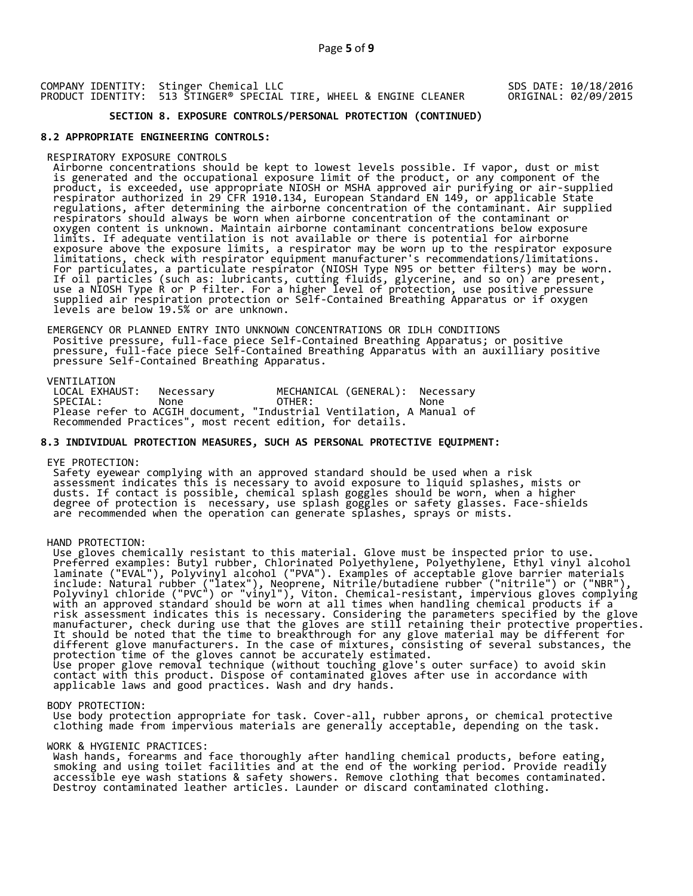## SDS DATE: 10/18/2016 ORIGINAL: 02/09/2015

# **SECTION 8. EXPOSURE CONTROLS/PERSONAL PROTECTION (CONTINUED)**

# **8.2 APPROPRIATE ENGINEERING CONTROLS:**

## RESPIRATORY EXPOSURE CONTROLS

 Airborne concentrations should be kept to lowest levels possible. If vapor, dust or mist is generated and the occupational exposure limit of the product, or any component of the product, is exceeded, use appropriate NIOSH or MSHA approved air purifying or air-supplied respirator authorized in 29 CFR 1910.134, European Standard EN 149, or applicable State regulations, after determining the airborne concentration of the contaminant. Air supplied respirators should always be worn when airborne concentration of the contaminant or oxygen content is unknown. Maintain airborne contaminant concentrations below exposure limits. If adequate ventilation is not available or there is potential for airborne exposure above the exposure limits, a respirator may be worn up to the respirator exposure limitations, check with respirator equipment manufacturer's recommendations/limitations. For particulates, a particulate respirator (NIOSH Type N95 or better filters) may be worn. If oil particles (such as: lubricants, cutting fluids, glycerine, and so on) are present, use a NIOSH Type R or P filter. For a higher level of protection, use positive pressure supplied air respiration protection or Self-Contained Breathing Apparatus or if oxygen levels are below 19.5% or are unknown.

 EMERGENCY OR PLANNED ENTRY INTO UNKNOWN CONCENTRATIONS OR IDLH CONDITIONS Positive pressure, full-face piece Self-Contained Breathing Apparatus; or positive pressure, full-face piece Self-Contained Breathing Apparatus with an auxilliary positive pressure Self-Contained Breathing Apparatus.

VENTILATION<br>LOCAL EXHAUST: LOCAL EXHAUST: Necessary MECHANICAL (GENERAL): Necessary SPECIAL: None OTHER: None Please refer to ACGIH document, "Industrial Ventilation, A Manual of Recommended Practices", most recent edition, for details.

# **8.3 INDIVIDUAL PROTECTION MEASURES, SUCH AS PERSONAL PROTECTIVE EQUIPMENT:**

#### EYE PROTECTION:

 Safety eyewear complying with an approved standard should be used when a risk assessment indicates this is necessary to avoid exposure to liquid splashes, mists or dusts. If contact is possible, chemical splash goggles should be worn, when a higher degree of protection is necessary, use splash goggles or safety glasses. Face-shields are recommended when the operation can generate splashes, sprays or mists.

### HAND PROTECTION:

 Use gloves chemically resistant to this material. Glove must be inspected prior to use. Preferred examples: Butyl rubber, Chlorinated Polyethylene, Polyethylene, Ethyl vinyl alcohol laminate ("EVAL"), Polyvinyl alcohol ("PVA"). Examples of acceptable glove barrier materials include: Natural rubber ("latex"), Neoprene, Nitrile/butadiene rubber ("nitrile") or ("NBR"), Polyvinyl chloride ("PVC") or "vinyl"), Viton. Chemical-resistant, impervious gloves complying with an approved standard should be worn at all times when handling chemical products if a risk assessment indicates this is necessary. Considering the parameters specified by the glove manufacturer, check during use that the gloves are still retaining their protective properties. It should be noted that the time to breakthrough for any glove material may be different for different glove manufacturers. In the case of mixtures, consisting of several substances, the protection time of the gloves cannot be accurately estimated. Use proper glove removal technique (without touching glove's outer surface) to avoid skin contact with this product. Dispose of contaminated gloves after use in accordance with applicable laws and good practices. Wash and dry hands.

### BODY PROTECTION:

 Use body protection appropriate for task. Cover-all, rubber aprons, or chemical protective clothing made from impervious materials are generally acceptable, depending on the task.

### WORK & HYGIENIC PRACTICES:

 Wash hands, forearms and face thoroughly after handling chemical products, before eating, smoking and using toilet facilities and at the end of the working period. Provide readily accessible eye wash stations & safety showers. Remove clothing that becomes contaminated. Destroy contaminated leather articles. Launder or discard contaminated clothing.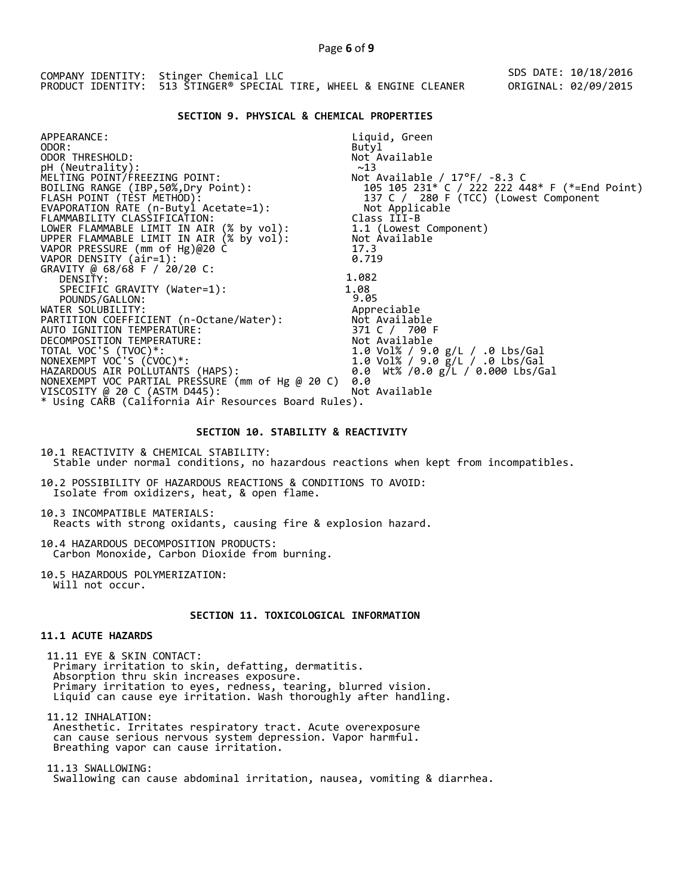| PRODUCT IDENTITY: 513 STINGER® SPECIAL TIRE, WHEEL & ENGINE CLEANER |  | COMPANY IDENTITY: Stinger Chemical LLC | SDS DATE: 10/18/2016 |
|---------------------------------------------------------------------|--|----------------------------------------|----------------------|
|                                                                     |  |                                        | ORIGINAL: 02/09/2015 |

### **SECTION 9. PHYSICAL & CHEMICAL PROPERTIES**

| APPEARANCE:                                                                          | Liquid, Green                                 |
|--------------------------------------------------------------------------------------|-----------------------------------------------|
| ODOR:                                                                                | Butyl                                         |
| ODOR THRESHOLD:                                                                      | Not Available                                 |
| pH (Neutrality):                                                                     | ~13                                           |
| MELTING POINT/FREEZING POINT:                                                        | Not Available / $17^{\circ}$ F/ -8.3 C        |
| BOILING RANGE (IBP,50%,Dry Point):                                                   | 105 105 231* C / 222 222 448* F (*=End Point) |
| FLASH POINT (TÈST METHOD):                                                           |                                               |
| EVAPORATION RATE (n-Butyl Acetate=1):                                                |                                               |
| FLAMMABILITY CLASSIFICATION:                                                         | Class III-B                                   |
|                                                                                      | 1.1 (Lowest Component)                        |
| LOWER FLAMMABLE LIMIT IN AIR (% by vol):<br>UPPER FLAMMABLE LIMIT IN AIR (% by vol): | Not Available                                 |
| VAPOR PRESSURE (mm of Hg)@20 C                                                       | 17.3                                          |
| VAPOR DENSITY (air=1):                                                               | 0.719                                         |
| GRAVITY @ 68/68 F / 20/20 C:                                                         |                                               |
| DENSITY:                                                                             | 1.082                                         |
| SPECIFIC GRAVITY (Water=1):                                                          | 1.08                                          |
| POUNDS/GALLON:                                                                       | 9.05                                          |
| WATER SOLUBILITY:                                                                    | Appreciable                                   |
| PARTITION COEFFICIENT (n-Octane/Water):                                              | Not Available                                 |
| AUTO IGNITION TEMPERATURE:                                                           | 371 C / 700 F                                 |
| DECOMPOSITION TEMPERATURE:                                                           | Not Available                                 |
| TOTAL VOC'S (TVOC)*:                                                                 | 1.0 Vol% / 9.0 g/L / .0 Lbs/Gal               |
| NONEXEMPT VOC'S (CVOC)*:                                                             | 1.0 Vol% / 9.0 g/L / .0 Lbs/Gal               |
| HAZARDOUS AIR POLLUTAŃTS (HAPS):                                                     | 0.0 Wt% /0.0 g/L / 0.000 Lbs/Gal              |
| NONEXEMPT VOC PARTIAL PRESSURE (mm of Hg @ 20 C)                                     | 0.0                                           |
| VISCOSITY @ 20 C (ASTM D445):                                                        | Not Available                                 |
| * Using CARB (California Air Resources Board Rules).                                 |                                               |
|                                                                                      |                                               |

# **SECTION 10. STABILITY & REACTIVITY**

10.1 REACTIVITY & CHEMICAL STABILITY: Stable under normal conditions, no hazardous reactions when kept from incompatibles.

10.2 POSSIBILITY OF HAZARDOUS REACTIONS & CONDITIONS TO AVOID: Isolate from oxidizers, heat, & open flame.

10.3 INCOMPATIBLE MATERIALS: Reacts with strong oxidants, causing fire & explosion hazard.

10.4 HAZARDOUS DECOMPOSITION PRODUCTS: Carbon Monoxide, Carbon Dioxide from burning.

10.5 HAZARDOUS POLYMERIZATION: Will not occur.

# **SECTION 11. TOXICOLOGICAL INFORMATION**

# **11.1 ACUTE HAZARDS**

 11.11 EYE & SKIN CONTACT: Primary irritation to skin, defatting, dermatitis. Absorption thru skin increases exposure. Primary irritation to eyes, redness, tearing, blurred vision. Liquid can cause eye irritation. Wash thoroughly after handling.

 11.12 INHALATION: Anesthetic. Irritates respiratory tract. Acute overexposure can cause serious nervous system depression. Vapor harmful. Breathing vapor can cause irritation.

 11.13 SWALLOWING: Swallowing can cause abdominal irritation, nausea, vomiting & diarrhea.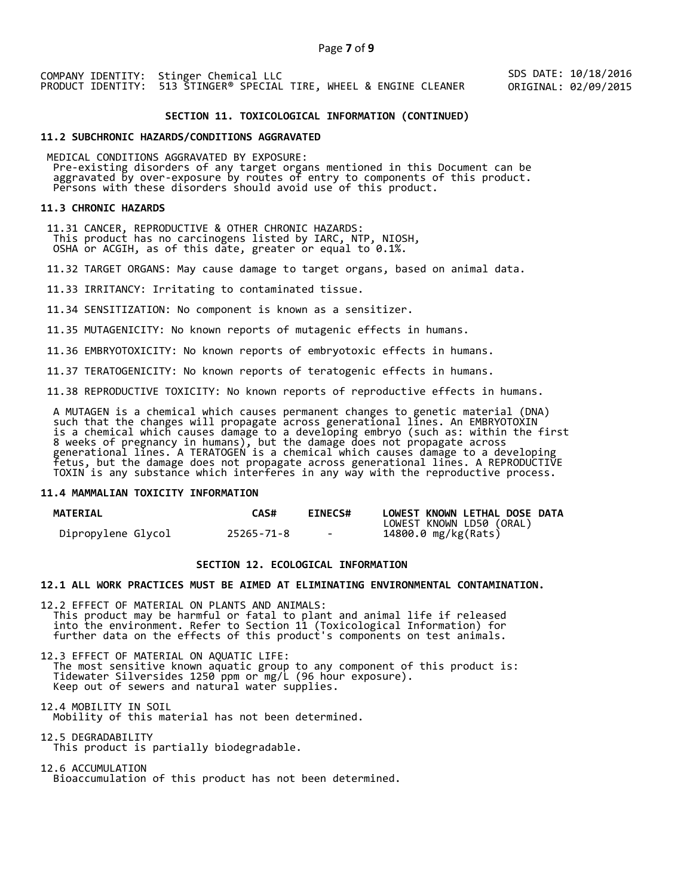SDS DATE: 10/18/2016 ORIGINAL: 02/09/2015

# **SECTION 11. TOXICOLOGICAL INFORMATION (CONTINUED)**

#### **11.2 SUBCHRONIC HAZARDS/CONDITIONS AGGRAVATED**

 MEDICAL CONDITIONS AGGRAVATED BY EXPOSURE: Pre-existing disorders of any target organs mentioned in this Document can be aggravated by over-exposure by routes of entry to components of this product. Persons with these disorders should avoid use of this product.

#### **11.3 CHRONIC HAZARDS**

 11.31 CANCER, REPRODUCTIVE & OTHER CHRONIC HAZARDS: This product has no carcinogens listed by IARC, NTP, NIOSH, OSHA or ACGIH, as of this date, greater or equal to 0.1%.

11.32 TARGET ORGANS: May cause damage to target organs, based on animal data.

11.33 IRRITANCY: Irritating to contaminated tissue.

11.34 SENSITIZATION: No component is known as a sensitizer.

11.35 MUTAGENICITY: No known reports of mutagenic effects in humans.

11.36 EMBRYOTOXICITY: No known reports of embryotoxic effects in humans.

11.37 TERATOGENICITY: No known reports of teratogenic effects in humans.

11.38 REPRODUCTIVE TOXICITY: No known reports of reproductive effects in humans.

 A MUTAGEN is a chemical which causes permanent changes to genetic material (DNA) such that the changes will propagate across generational lines. An EMBRYOTOXIN is a chemical which causes damage to a developing embryo (such as: within the first 8 weeks of pregnancy in humans), but the damage does not propagate across generational lines. A TERATOGEN is a chemical which causes damage to a developing fetus, but the damage does not propagate across generational lines. A REPRODUCTIVE TOXIN is any substance which interferes in any way with the reproductive process.

# **11.4 MAMMALIAN TOXICITY INFORMATION**

| <b>MATERIAL</b>    | CAS#       | <b>EINECS#</b> | LOWEST KNOWN LETHAL DOSE DATA |
|--------------------|------------|----------------|-------------------------------|
|                    |            |                | LOWEST KNOWN LD50 (ORAL)      |
| Dipropylene Glycol | 25265-71-8 | $\sim$         | 14800.0 mg/kg(Rats)           |

# **SECTION 12. ECOLOGICAL INFORMATION**

## **12.1 ALL WORK PRACTICES MUST BE AIMED AT ELIMINATING ENVIRONMENTAL CONTAMINATION.**

12.2 EFFECT OF MATERIAL ON PLANTS AND ANIMALS: This product may be harmful or fatal to plant and animal life if released into the environment. Refer to Section 11 (Toxicological Information) for further data on the effects of this product's components on test animals.

12.3 EFFECT OF MATERIAL ON AQUATIC LIFE: The most sensitive known aquatic group to any component of this product is: Tidewater Silversides 1250 ppm or mg/L (96 hour exposure). Keep out of sewers and natural water supplies.

12.4 MOBILITY IN SOIL Mobility of this material has not been determined.

12.5 DEGRADABILITY This product is partially biodegradable.

12.6 ACCUMULATION Bioaccumulation of this product has not been determined.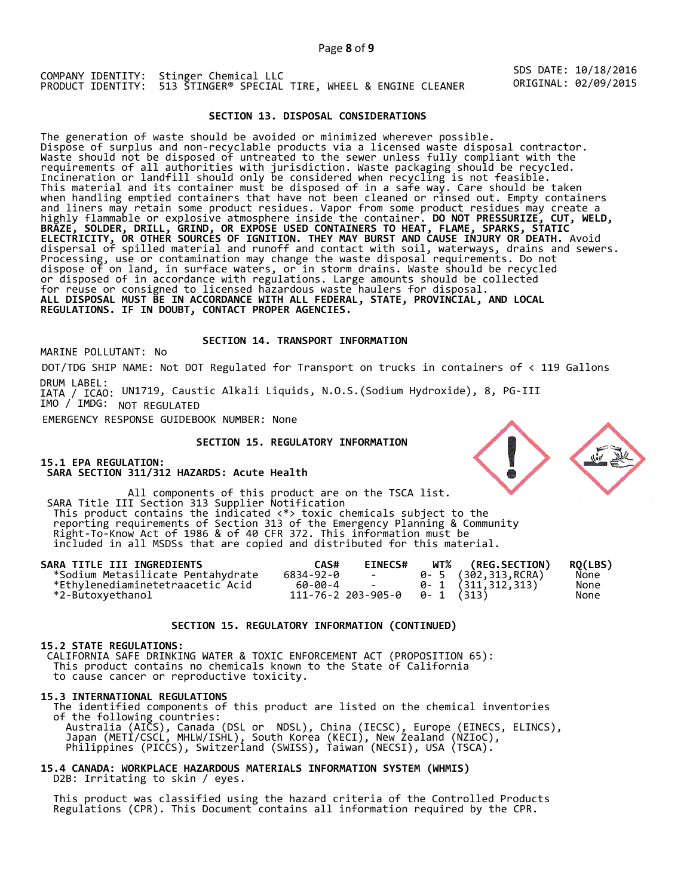SDS DATE: 10/18/2016 ORIGINAL: 02/09/2015

## **SECTION 13. DISPOSAL CONSIDERATIONS**

The generation of waste should be avoided or minimized wherever possible. Dispose of surplus and non-recyclable products via a licensed waste disposal contractor. Waste should not be disposed of untreated to the sewer unless fully compliant with the requirements of all authorities with jurisdiction. Waste packaging should be recycled. Incineration or landfill should only be considered when recycling is not feasible. This material and its container must be disposed of in a safe way. Care should be taken when handling emptied containers that have not been cleaned or rinsed out. Empty containers and liners may retain some product residues. Vapor from some product residues may create a highly flammable or explosive atmosphere inside the container. **DO NOT PRESSURIZE, CUT, WELD, BRAZE, SOLDER, DRILL, GRIND, OR EXPOSE USED CONTAINERS TO HEAT, FLAME, SPARKS, STATIC ELECTRICITY, OR OTHER SOURCES OF IGNITION. THEY MAY BURST AND CAUSE INJURY OR DEATH.** Avoid dispersal of spilled material and runoff and contact with soil, waterways, drains and sewers. Processing, use or contamination may change the waste disposal requirements. Do not dispose of on land, in surface waters, or in storm drains. Waste should be recycled or disposed of in accordance with regulations. Large amounts should be collected for reuse or consigned to licensed hazardous waste haulers for disposal. **ALL DISPOSAL MUST BE IN ACCORDANCE WITH ALL FEDERAL, STATE, PROVINCIAL, AND LOCAL REGULATIONS. IF IN DOUBT, CONTACT PROPER AGENCIES.** 

# **SECTION 14. TRANSPORT INFORMATION**

MARINE POLLUTANT: No

DOT/TDG SHIP NAME: Not DOT Regulated for Transport on trucks in containers of < 119 Gallons DRUM LABEL:

IATA / ICAO: UN1719, Caustic Alkali Liquids, N.O.S.(Sodium Hydroxide), 8, PG-III IMO / IMDG: NOT REGULATED

EMERGENCY RESPONSE GUIDEBOOK NUMBER: None

# **SECTION 15. REGULATORY INFORMATION**

**15.1 EPA REGULATION: SARA SECTION 311/312 HAZARDS: Acute Health** 

All components of this product are on the TSCA list. SARA Title III Section 313 Supplier Notification This product contains the indicated <\*> toxic chemicals subject to the reporting requirements of Section 313 of the Emergency Planning & Community Right-To-Know Act of 1986 & of 40 CFR 372. This information must be included in all MSDSs that are copied and distributed for this material.

| SARA TITLE III INGREDIENTS        | CAS#      | <b>EINECS#</b>                        | <b>WT% (REG.SECTION)</b> | RO(LBS) |
|-----------------------------------|-----------|---------------------------------------|--------------------------|---------|
| *Sodium Metasilicate Pentahydrate | 6834-92-0 | <b>Contract Contract</b>              | 0- 5 (302,313,RCRA)      | None    |
| *Ethylenediaminetetraacetic Acid  | 60-00-4   | and the state of the state of the     | 0-1 (311,312,313)        | None    |
| *2-Butoxyethanol                  |           | $111 - 76 - 2203 - 905 - 0$ 0-1 (313) |                          | None    |

### **SECTION 15. REGULATORY INFORMATION (CONTINUED)**

# **15.2 STATE REGULATIONS:**

 CALIFORNIA SAFE DRINKING WATER & TOXIC ENFORCEMENT ACT (PROPOSITION 65): This product contains no chemicals known to the State of California to cause cancer or reproductive toxicity.

#### **15.3 INTERNATIONAL REGULATIONS**

 The identified components of this product are listed on the chemical inventories of the following countries: Australia (AICS), Canada (DSL or NDSL), China (IECSC), Europe (EINECS, ELINCS), Japan (METI/CSCL, MHLW/ISHL), South Korea (KECI), New Zealand (NZIoC), Philippines (PICCS), Switzerland (SWISS), Taiwan (NECSI), USA (TSCA).

# **15.4 CANADA: WORKPLACE HAZARDOUS MATERIALS INFORMATION SYSTEM (WHMIS)**  D2B: Irritating to skin / eyes.

 This product was classified using the hazard criteria of the Controlled Products Regulations (CPR). This Document contains all information required by the CPR.